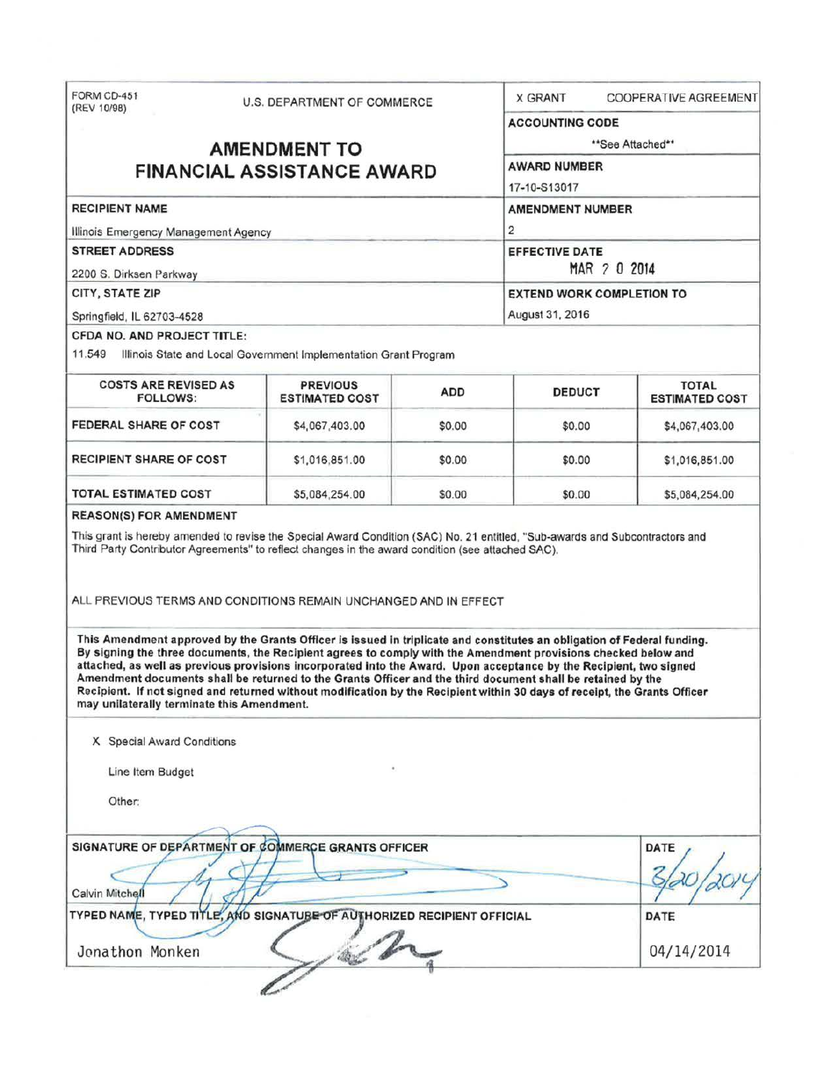| FORM CD-451<br>(REV 10/98)                                                       | U.S. DEPARTMENT OF COMMERCE                                                                                                                                                                                                                                                                                                                                                                                                         |            | <b>COOPERATIVE AGREEMENT</b><br><b>X GRANT</b>   |                                       |                            |
|----------------------------------------------------------------------------------|-------------------------------------------------------------------------------------------------------------------------------------------------------------------------------------------------------------------------------------------------------------------------------------------------------------------------------------------------------------------------------------------------------------------------------------|------------|--------------------------------------------------|---------------------------------------|----------------------------|
|                                                                                  |                                                                                                                                                                                                                                                                                                                                                                                                                                     |            |                                                  | <b>ACCOUNTING CODE</b>                |                            |
| <b>AMENDMENT TO</b>                                                              |                                                                                                                                                                                                                                                                                                                                                                                                                                     |            | **See Attached**                                 |                                       |                            |
| <b>FINANCIAL ASSISTANCE AWARD</b>                                                |                                                                                                                                                                                                                                                                                                                                                                                                                                     |            | <b>AWARD NUMBER</b><br>17-10-S13017              |                                       |                            |
|                                                                                  |                                                                                                                                                                                                                                                                                                                                                                                                                                     |            |                                                  |                                       | <b>RECIPIENT NAME</b>      |
| Illinois Emergency Management Agency                                             |                                                                                                                                                                                                                                                                                                                                                                                                                                     |            | 2                                                |                                       |                            |
| <b>STREET ADDRESS</b>                                                            |                                                                                                                                                                                                                                                                                                                                                                                                                                     |            | <b>EFFECTIVE DATE</b>                            |                                       |                            |
| 2200 S. Dirksen Parkway<br>CITY, STATE ZIP                                       |                                                                                                                                                                                                                                                                                                                                                                                                                                     |            | MAR 2 0 2014<br><b>EXTEND WORK COMPLETION TO</b> |                                       |                            |
|                                                                                  |                                                                                                                                                                                                                                                                                                                                                                                                                                     |            |                                                  |                                       | Springfield, IL 62703-4528 |
| <b>CFDA NO. AND PROJECT TITLE:</b>                                               |                                                                                                                                                                                                                                                                                                                                                                                                                                     |            |                                                  |                                       |                            |
|                                                                                  | 11.549 Illinois State and Local Government Implementation Grant Program                                                                                                                                                                                                                                                                                                                                                             |            |                                                  |                                       |                            |
| <b>COSTS ARE REVISED AS</b><br><b>FOLLOWS:</b>                                   | <b>PREVIOUS</b><br><b>ESTIMATED COST</b>                                                                                                                                                                                                                                                                                                                                                                                            | <b>ADD</b> | <b>DEDUCT</b>                                    | <b>TOTAL</b><br><b>ESTIMATED COST</b> |                            |
| FEDERAL SHARE OF COST                                                            | \$4,067,403.00                                                                                                                                                                                                                                                                                                                                                                                                                      | \$0.00     | \$0.00                                           | \$4,067,403.00                        |                            |
| <b>RECIPIENT SHARE OF COST</b>                                                   | \$1,016,851.00                                                                                                                                                                                                                                                                                                                                                                                                                      | \$0.00     | \$0.00                                           | \$1,016,851.00                        |                            |
|                                                                                  |                                                                                                                                                                                                                                                                                                                                                                                                                                     |            |                                                  |                                       |                            |
|                                                                                  | \$5,084,254.00<br>This grant is hereby amended to revise the Special Award Condition (SAC) No. 21 entitled, "Sub-awards and Subcontractors and<br>Third Party Contributor Agreements" to reflect changes in the award condition (see attached SAC).                                                                                                                                                                                 | \$0.00     | \$0.00                                           | \$5,084,254.00                        |                            |
|                                                                                  | ALL PREVIOUS TERMS AND CONDITIONS REMAIN UNCHANGED AND IN EFFECT<br>This Amendment approved by the Grants Officer is issued in triplicate and constitutes an obligation of Federal funding.<br>By signing the three documents, the Recipient agrees to comply with the Amendment provisions checked below and<br>attached, as well as previous provisions incorporated into the Award. Upon acceptance by the Recipient, two signed |            |                                                  |                                       |                            |
| may unilaterally terminate this Amendment.                                       | Amendment documents shall be returned to the Grants Officer and the third document shall be retained by the<br>Recipient. If not signed and returned without modification by the Recipient within 30 days of receipt, the Grants Officer                                                                                                                                                                                            |            |                                                  |                                       |                            |
| X Special Award Conditions                                                       |                                                                                                                                                                                                                                                                                                                                                                                                                                     |            |                                                  |                                       |                            |
| Line Item Budget                                                                 |                                                                                                                                                                                                                                                                                                                                                                                                                                     |            |                                                  |                                       |                            |
| Other:                                                                           |                                                                                                                                                                                                                                                                                                                                                                                                                                     |            |                                                  |                                       |                            |
|                                                                                  | SIGNATURE OF DEPARTMENT OF COMMERCE GRANTS OFFICER                                                                                                                                                                                                                                                                                                                                                                                  |            |                                                  | <b>DATE</b>                           |                            |
|                                                                                  |                                                                                                                                                                                                                                                                                                                                                                                                                                     |            |                                                  |                                       |                            |
| <b>TOTAL ESTIMATED COST</b><br><b>REASON(S) FOR AMENDMENT</b><br>Calvin Mitchell | TYPED NAME, TYPED TITLE, AND SIGNATUBE OF AUTHORIZED RECIPIENT OFFICIAL                                                                                                                                                                                                                                                                                                                                                             |            |                                                  | DATE                                  |                            |